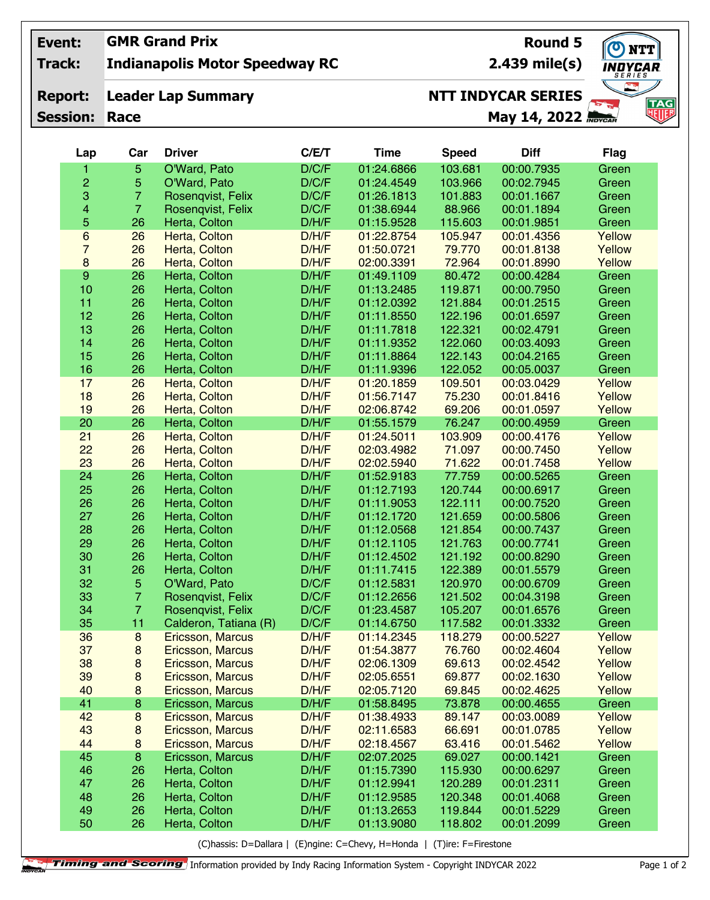## **GMR Grand Prix Event:**

**Indianapolis Motor Speedway RC Track:**

## **Leader Lap Summary Report:**

**Session: Race**

**2.439 mile(s)**

**Round 5**

**NTT** NDYCAR. **TAG**<br>NUF

## **May 14, 2022 NTT INDYCAR SERIES**

| Lap              | Car            | <b>Driver</b>           | C/E/T | <b>Time</b> | <b>Speed</b> | <b>Diff</b> | <b>Flag</b> |
|------------------|----------------|-------------------------|-------|-------------|--------------|-------------|-------------|
| 1                | 5              | O'Ward, Pato            | D/C/F | 01:24.6866  | 103.681      | 00:00.7935  | Green       |
| 2                | 5              | O'Ward, Pato            | D/C/F | 01:24.4549  | 103.966      | 00:02.7945  | Green       |
| 3                | $\overline{7}$ | Rosenqvist, Felix       | D/C/F | 01:26.1813  | 101.883      | 00:01.1667  | Green       |
| 4                | $\overline{7}$ | Rosenqvist, Felix       | D/C/F | 01:38.6944  | 88.966       | 00:01.1894  | Green       |
| 5                | 26             | Herta, Colton           | D/H/F | 01:15.9528  | 115.603      | 00:01.9851  | Green       |
| 6                | 26             | Herta, Colton           | D/H/F | 01:22.8754  | 105.947      | 00:01.4356  | Yellow      |
| $\overline{7}$   | 26             | Herta, Colton           | D/H/F | 01:50.0721  | 79.770       | 00:01.8138  | Yellow      |
| 8                | 26             | Herta, Colton           | D/H/F | 02:00.3391  | 72.964       | 00:01.8990  | Yellow      |
| $\boldsymbol{9}$ | 26             | Herta, Colton           | D/H/F | 01:49.1109  | 80.472       | 00:00.4284  | Green       |
| 10               | 26             | Herta, Colton           | D/H/F | 01:13.2485  | 119.871      | 00:00.7950  | Green       |
| 11               | 26             | Herta, Colton           | D/H/F | 01:12.0392  | 121.884      | 00:01.2515  | Green       |
| 12               | 26             | Herta, Colton           | D/H/F | 01:11.8550  | 122.196      | 00:01.6597  | Green       |
| 13               | 26             | Herta, Colton           | D/H/F | 01:11.7818  | 122.321      | 00:02.4791  | Green       |
| 14               | 26             | Herta, Colton           | D/H/F | 01:11.9352  | 122.060      | 00:03.4093  | Green       |
| 15               | 26             | Herta, Colton           | D/H/F | 01:11.8864  | 122.143      | 00:04.2165  | Green       |
| 16               | 26             | Herta, Colton           | D/H/F | 01:11.9396  | 122.052      | 00:05.0037  | Green       |
| 17               | 26             | Herta, Colton           | D/H/F | 01:20.1859  | 109.501      | 00:03.0429  | Yellow      |
| 18               | 26             | Herta, Colton           | D/H/F | 01:56.7147  | 75.230       | 00:01.8416  | Yellow      |
| 19               | 26             | Herta, Colton           | D/H/F | 02:06.8742  | 69.206       | 00:01.0597  | Yellow      |
| 20               | 26             | Herta, Colton           | D/H/F | 01:55.1579  | 76.247       | 00:00.4959  | Green       |
| 21               | 26             | Herta, Colton           | D/H/F | 01:24.5011  | 103.909      | 00:00.4176  | Yellow      |
| 22               | 26             | Herta, Colton           | D/H/F | 02:03.4982  | 71.097       | 00:00.7450  | Yellow      |
| 23               | 26             | Herta, Colton           | D/H/F | 02:02.5940  | 71.622       | 00:01.7458  | Yellow      |
| 24               | 26             | Herta, Colton           | D/H/F | 01:52.9183  | 77.759       | 00:00.5265  | Green       |
| 25               | 26             | Herta, Colton           | D/H/F | 01:12.7193  | 120.744      | 00:00.6917  | Green       |
| 26               | 26             | Herta, Colton           | D/H/F | 01:11.9053  | 122.111      | 00:00.7520  | Green       |
| 27               | 26             | Herta, Colton           | D/H/F | 01:12.1720  | 121.659      | 00:00.5806  | Green       |
| 28               | 26             | Herta, Colton           | D/H/F | 01:12.0568  | 121.854      | 00:00.7437  | Green       |
| 29               | 26             | Herta, Colton           | D/H/F | 01:12.1105  | 121.763      | 00:00.7741  | Green       |
| 30               | 26             | Herta, Colton           | D/H/F | 01:12.4502  | 121.192      | 00:00.8290  | Green       |
| 31               | 26             | Herta, Colton           | D/H/F | 01:11.7415  | 122.389      | 00:01.5579  | Green       |
| 32               | 5              | O'Ward, Pato            | D/C/F | 01:12.5831  | 120.970      | 00:00.6709  | Green       |
| 33               | $\overline{7}$ | Rosenqvist, Felix       | D/C/F | 01:12.2656  | 121.502      | 00:04.3198  | Green       |
| 34               | $\overline{7}$ | Rosenqvist, Felix       | D/C/F | 01:23.4587  | 105.207      | 00:01.6576  | Green       |
| 35               | 11             | Calderon, Tatiana (R)   | D/C/F | 01:14.6750  | 117.582      | 00:01.3332  | Green       |
| 36               | $\bf 8$        | Ericsson, Marcus        | D/H/F | 01:14.2345  | 118.279      | 00:00.5227  | Yellow      |
| 37               | 8              | Ericsson, Marcus        | D/H/F | 01:54.3877  | 76.760       | 00:02.4604  | Yellow      |
| 38               | 8              | Ericsson, Marcus        | D/H/F | 02:06.1309  | 69.613       | 00:02.4542  | Yellow      |
| 39               | 8              | Ericsson, Marcus        | D/H/F | 02:05.6551  | 69.877       | 00:02.1630  | Yellow      |
| 40               | 8              | Ericsson, Marcus        | D/H/F | 02:05.7120  | 69.845       | 00:02.4625  | Yellow      |
| 41               | 8              | Ericsson, Marcus        | D/H/F | 01:58.8495  | 73.878       | 00:00.4655  | Green       |
| 42               | 8              | Ericsson, Marcus        | D/H/F | 01:38.4933  | 89.147       | 00:03.0089  | Yellow      |
| 43               | 8              | Ericsson, Marcus        | D/H/F | 02:11.6583  | 66.691       | 00:01.0785  | Yellow      |
| 44               | 8              | <b>Ericsson, Marcus</b> | D/H/F | 02:18.4567  | 63.416       | 00:01.5462  | Yellow      |
| 45               | $\bf8$         | Ericsson, Marcus        | D/H/F | 02:07.2025  | 69.027       | 00:00.1421  | Green       |
| 46               | 26             | Herta, Colton           | D/H/F | 01:15.7390  | 115.930      | 00:00.6297  | Green       |
| 47               | 26             | Herta, Colton           | D/H/F | 01:12.9941  | 120.289      | 00:01.2311  | Green       |
| 48               | 26             | Herta, Colton           | D/H/F | 01:12.9585  | 120.348      | 00:01.4068  | Green       |
| 49               | 26             | Herta, Colton           | D/H/F | 01:13.2653  | 119.844      | 00:01.5229  | Green       |
| 50               | 26             | Herta, Colton           | D/H/F | 01:13.9080  | 118.802      | 00:01.2099  | Green       |

(C)hassis: D=Dallara | (E)ngine: C=Chevy, H=Honda | (T)ire: F=Firestone